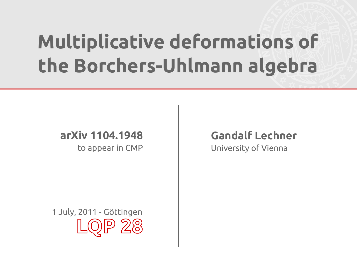# **Multiplicative deformations of the Borchers-Uhlmann algebra**

#### **arXiv 1104.1948** to appear in CMP

**Gandalf Lechner** University of Vienna

**LQP 28** 1 July, 2011 - Göttingen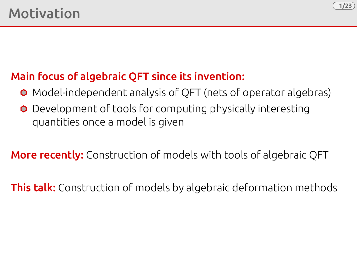

### Main focus of algebraic QFT since its invention:

- Model-independent analysis of QFT (nets of operator algebras)
- **O** Development of tools for computing physically interesting quantities once a model is given

**More recently:** Construction of models with tools of algebraic QFT

**This talk:** Construction of models by algebraic deformation methods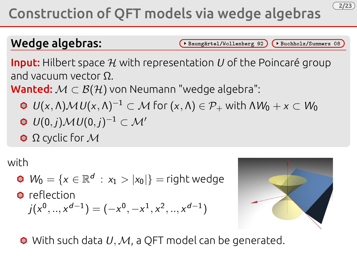## Construction of QFT models via wedge algebras

Wedge algebras: Critical Communication (Baumgärtel/Wollenberg 92) (Buchholz/Summers 08

**2/23**

**Input:** Hilbert space  $\mathcal H$  with representation U of the Poincaré group and vacuum vector Ω.

Wanted:  $M \subset B(H)$  von Neumann "wedge algebra":

- $\bullet$   $U(x,\Lambda) \mathcal{M} U(x,\Lambda)^{-1} \subset \mathcal{M}$  for  $(x,\Lambda) \in \mathcal{P}_+$  with  $\Lambda W_0 + x \subset W_0$
- $U(0, j) \mathcal{M} U(0, j)^{-1} \subset \mathcal{M}'$
- Ω cyclic for M

with

 $W_0 = \{x \in \mathbb{R}^d : x_1 > |x_0|\} = \text{right wedge}$ 

**O** reflection

$$
j(x^0,..,x^{d-1})=(-x^0,-x^1,x^2,..,x^{d-1})
$$



 $\bullet$  With such data U, M, a QFT model can be generated.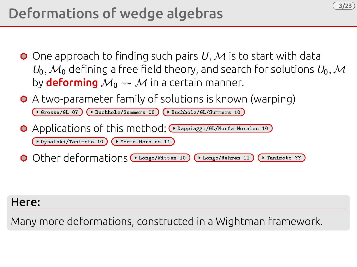## Deformations of wedge algebras

 $\bullet$  One approach to finding such pairs U, M is to start with data  $U_0, \mathcal{M}_0$  defining a free field theory, and search for solutions  $U_0, \mathcal{M}_1$ by **deforming**  $M_0 \rightsquigarrow M$  in a certain manner.

**3/23**

A two-parameter family of solutions is known (warping)

| $($ Crosse/GL 07) $($ Buchholz/Summers 08) $($ Buchholz/GL/Summers 10)    |
|---------------------------------------------------------------------------|
| O Applications of this method: ( Dappiaggi/GL/Morfa-Morales 10)           |
| ◆ Dybalski/Tanimoto 10 → Morfa-Morales 11                                 |
| O Other deformations (FLongo/Witten 10) (FLongo/Rehren 11) (Flanimoto ??) |

#### Here:

Many more deformations, constructed in a Wightman framework.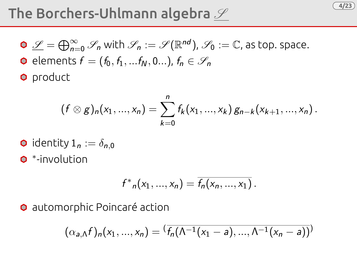## The Borchers-Uhlmann algebra  ${\mathscr S}$

 $\mathscr{L}=\bigoplus_{n=0}^\infty \mathscr{S}_n$  with  $\mathscr{S}_n:=\mathscr{S}(\mathbb{R}^{nd})$ ,  $\mathscr{S}_0:=\mathbb{C}$ , as top. space. **e** elements  $f = (f_0, f_1, ... f_N, 0...)$ ,  $f_n \in \mathscr{S}_n$ **O** product

$$
(f \otimes g)_n(x_1,...,x_n) = \sum_{k=0}^n f_k(x_1,...,x_k) g_{n-k}(x_{k+1},...,x_n).
$$

**4/23**

\n- o identity 
$$
1_n := \delta_{n,0}
$$
\n- •-involution
\n

$$
f^*_{n}(x_1, ..., x_n) = \overline{f_n(x_n, ..., x_1)}.
$$

automorphic Poincaré action

$$
(\alpha_{a,\Lambda}f)_n(x_1,...,x_n)=(\overline{f_n(\Lambda^{-1}(x_1-a),..., \Lambda^{-1}(x_n-a))})
$$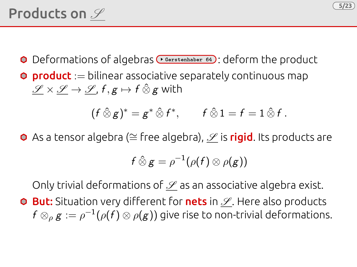## Products on  $\mathscr S$

- O Deformations of algebras **Gerstenhaber 64** : deform the product
- **O** product := bilinear associative separately continuous map  $\mathscr{S} \times \mathscr{S} \rightarrow \mathscr{S}$ ,  $f, g \mapsto f \hat{\otimes} g$  with

$$
(f\,\hat{\otimes}\,g)^* = g^*\,\hat{\otimes}\,f^*, \qquad f\,\hat{\otimes}\,1 = f = 1\,\hat{\otimes}\,f.
$$

**5/23**

O As a tensor algebra (≅ free algebra),  $\mathscr S$  is rigid. Its products are

$$
f\mathbin{\hat{\otimes}} g=\rho^{-1}(\rho(f)\otimes\rho(g))
$$

Only trivial deformations of  $\mathscr S$  as an associative algebra exist.

**O But:** Situation very different for **nets** in  $\mathscr{S}$ . Here also products  $f \otimes_{\rho} g := \rho^{-1}(\rho(f) \otimes \rho(g))$  give rise to non-trivial deformations.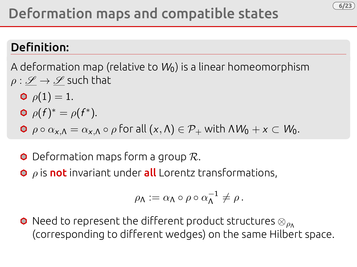### Definition:

A deformation map (relative to  $W_0$ ) is a linear homeomorphism  $\rho : \mathscr{S} \to \mathscr{S}$  such that

- $\rho(1) = 1.$  $\rho(f)^* = \rho(f^*).$
- $\bullet \rho \circ \alpha_{x,\Lambda} = \alpha_{x,\Lambda} \circ \rho$  for all  $(x,\Lambda) \in \mathcal{P}_+$  with  $\Lambda W_0 + x \subset W_0$ .
- $\bullet$  Deformation maps form a group  $\mathcal{R}$ .
- $\bullet$   $\rho$  is not invariant under all Lorentz transformations,

$$
\rho_\Lambda:=\alpha_\Lambda\circ\rho\circ\alpha_\Lambda^{-1}\neq\rho\,.
$$

**6/23**

**O** Need to represent the different product structures  $\otimes_{\rho_{\Lambda}}$ (corresponding to different wedges) on the same Hilbert space.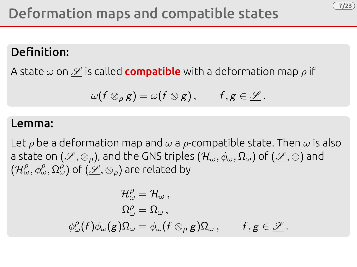### Definition:

A state  $\omega$  on  $\mathscr S$  is called **compatible** with a deformation map  $\rho$  if

$$
\omega(f\otimes_{\rho} g)=\omega(f\otimes g), \qquad f,g\in \underline{\mathscr{S}}.
$$

**7/23**

#### Lemma:

Let  $\rho$  be a deformation map and  $\omega$  a  $\rho$ -compatible state. Then  $\omega$  is also a state on  $(\mathscr{S}, \otimes_{\rho})$ , and the GNS triples  $(\mathcal{H}_{\omega}, \phi_{\omega}, \Omega_{\omega})$  of  $(\mathscr{S}, \otimes)$  and  $(\mathcal{H}^{\rho}_{\omega},\phi^{\rho}_{\omega},\Omega^{ \rho}_{\omega})$  of  $(\underline{\mathscr{S}},\otimes_{\rho})$  are related by

$$
\begin{aligned} \mathcal{H}_{\omega}^{\rho} & = \mathcal{H}_{\omega}\,, \\ \Omega_{\omega}^{\rho} & = \Omega_{\omega}\,, \\ \phi_{\omega}^{\rho}(f)\phi_{\omega}(g)\Omega_{\omega} & = \phi_{\omega}(f\otimes_{\rho}g)\Omega_{\omega}\,, \qquad f,g\in\underline{\mathscr{L}}\,. \end{aligned}
$$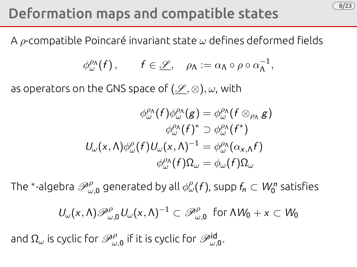## Deformation maps and compatible states

A  $\rho$ -compatible Poincaré invariant state  $\omega$  defines deformed fields

$$
\phi^{\rho_{\Lambda}}_{\omega}(f), \qquad f \in \underline{\mathscr{S}}, \quad \rho_{\Lambda} := \alpha_{\Lambda} \circ \rho \circ \alpha_{\Lambda}^{-1},
$$

**8/23**

as operators on the GNS space of  $(\mathscr{S}, \otimes), \omega$ , with

$$
\phi^{\rho \wedge}_{\omega}(f)\phi^{\rho \wedge}_{\omega}(g) = \phi^{\rho \wedge}_{\omega}(f \otimes_{\rho \wedge} g)
$$

$$
\phi^{\rho \wedge}_{\omega}(f)^* \supset \phi^{\rho \wedge}_{\omega}(f^*)
$$

$$
U_{\omega}(x,\Lambda)\phi^{\rho}_{\omega}(f)U_{\omega}(x,\Lambda)^{-1} = \phi^{\rho \wedge}_{\omega}(\alpha_{x,\Lambda}f)
$$

$$
\phi^{\rho \wedge}_{\omega}(f)\Omega_{\omega} = \phi_{\omega}(f)\Omega_{\omega}
$$

The \*-algebra  $\mathscr{P}_{\omega,0}^{\rho}$  generated by all  $\phi_{\omega}^{\rho}(f)$ , supp  $f_{n}\subset W_{0}^{n}$  satisfies

$$
U_{\omega}(x,\Lambda)\mathscr{P}_{{\omega},0}^{\rho}\,U_{\omega}(x,\Lambda)^{-1}\subset\mathscr{P}_{{\omega},0}^{\rho}\,\,\text{ for }\Lambda W_0+x\subset W_0
$$

and  $\Omega_\omega$  is cyclic for  $\mathscr{P}_{\omega,0}^\rho$  if it is cyclic for  $\mathscr{P}_{\omega,0}^{\mathsf{id}}.$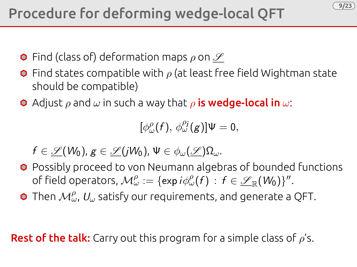**9/23**

- $\bullet$  Find (class of) deformation maps  $\rho$  on  $\mathscr S$
- **O** Find states compatible with  $\rho$  (at least free field Wightman state should be compatible)
- **O** Adjust  $\rho$  and  $\omega$  in such a way that  $\rho$  **is wedge-local in**  $\omega$ :

 $[\phi_\omega^\rho(f), \phi_\omega^{\rho_j}(g)]\Psi = 0,$ 

 $f \in \mathscr{L}(W_0), g \in \mathscr{L}(jW_0), \Psi \in \phi_\omega(\mathscr{L})\Omega_\omega.$ 

- **O** Possibly proceed to von Neumann algebras of bounded functions of field operators,  $\mathcal{M}_{\omega}^{\rho}:=\{\exp i\phi_{\omega}^{\rho}(f)\,:\,f\in\mathscr{L}_{\mathbb{R}}(W_{0})\}^{\prime\prime}.$
- Then  $\mathcal{M}_\omega^\rho$ ,  $U_\omega$  satisfy our requirements, and generate a QFT.

**Rest of the talk:** Carry out this program for a simple class of  $\rho$ 's.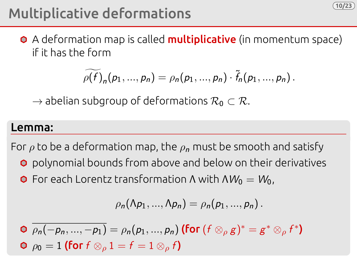## Multiplicative deformations

**O** A deformation map is called **multiplicative** (in momentum space) if it has the form

$$
\widetilde{\rho(f)}_n(p_1,...,p_n)=\rho_n(p_1,...,p_n)\cdot \widetilde{f}_n(p_1,...,p_n).
$$

**10/23**

 $\rightarrow$  abelian subgroup of deformations  $\mathcal{R}_0 \subset \mathcal{R}$ .

#### Lemma:

For  $\rho$  to be a deformation map, the  $\rho_n$  must be smooth and satisfy

- **O** polynomial bounds from above and below on their derivatives
- **O** For each Lorentz transformation  $\Lambda$  with  $\Lambda W_0 = W_0$ ,

$$
\rho_n(\Lambda p_1,...,\Lambda p_n)=\rho_n(p_1,...,p_n).
$$

 $\overline{\rho_{n}(-p_{n},..., -p_{1})} = \rho_{n}(p_{1},..., p_{n})$  (for  $(f \otimes_{\rho} g)^{*} = g^{*} \otimes_{\rho} f^{*}$ )  $\rho_0 = 1$  (for  $f \otimes_{\rho} 1 = f = 1 \otimes_{\rho} f$ )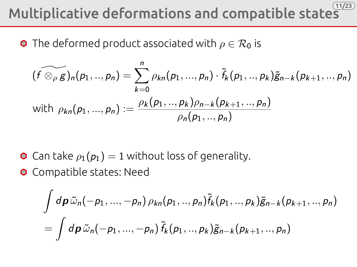#### **11/23** Multiplicative deformations and compatible states

**O** The deformed product associated with  $\rho \in \mathcal{R}_0$  is

$$
(\widetilde{f \otimes_{\rho} g})_n(p_1, ..., p_n) = \sum_{k=0}^n \rho_{kn}(p_1, ..., p_n) \cdot \widetilde{f}_k(p_1, ..., p_k) \widetilde{g}_{n-k}(p_{k+1}, ..., p_n)
$$
  
with  $\rho_{kn}(p_1, ..., p_n) := \frac{\rho_k(p_1, ..., p_k)\rho_{n-k}(p_{k+1}, ..., p_n)}{\rho_n(p_1, ..., p_n)}$ 

- **O** Can take  $\rho_1(p_1) = 1$  without loss of generality.
- **O** Compatible states: Need

$$
\int d\mathbf{p} \, \tilde{\omega}_n(-p_1,...,-p_n) \, \rho_{kn}(p_1,..,p_n) \tilde{f}_k(p_1,..,p_k) \tilde{g}_{n-k}(p_{k+1},..,p_n) = \int d\mathbf{p} \, \tilde{\omega}_n(-p_1,...,-p_n) \, \tilde{f}_k(p_1,..,p_k) \tilde{g}_{n-k}(p_{k+1},..,p_n)
$$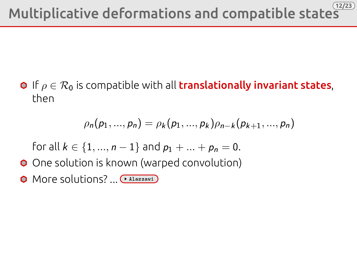**O** If  $\rho \in \mathcal{R}_0$  is compatible with all **translationally invariant states**. then

$$
\rho_n(p_1,...,p_n)=\rho_k(p_1,...,p_k)\rho_{n-k}(p_{k+1},...,p_n)
$$

for all  $k \in \{1, ..., n-1\}$  and  $p_1 + ... + p_n = 0$ .

- O One solution is known (warped convolution)
- O More solutions? ... (\* Alazzawi)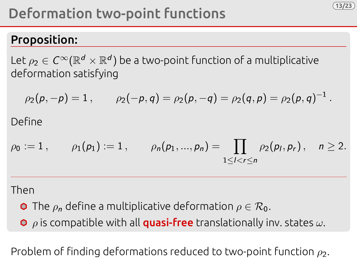## Deformation two-point functions

### Proposition:

Let  $\rho_2\in\mathcal{C}^\infty(\mathbb{R}^d\times\mathbb{R}^d)$  be a two-point function of a multiplicative deformation satisfying

$$
\rho_2(p,-p) = 1
$$
,  $\rho_2(-p,q) = \rho_2(p,-q) = \rho_2(q,p) = \rho_2(p,q)^{-1}$ .  
Since

**13/23**

$$
\rho_0 := 1, \qquad \rho_1(p_1) := 1, \qquad \rho_n(p_1, ..., p_n) = \prod_{1 \leq l < r \leq n} \rho_2(p_l, p_r), \quad n \geq 2.
$$

Then

 $\bigcap$ 

**O** The  $\rho_n$  define a multiplicative deformation  $\rho \in \mathcal{R}_0$ .

 $\bullet$   $\rho$  is compatible with all **quasi-free** translationally inv. states  $\omega$ .

Problem of finding deformations reduced to two-point function  $\rho_2$ .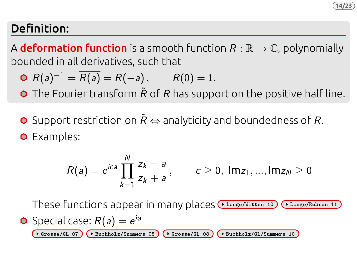#### **14/23**

### Definition:

A **deformation function** is a smooth function  $R : \mathbb{R} \to \mathbb{C}$ , polynomially bounded in all derivatives, such that

$$
\bullet \ \ R(a)^{-1} = \overline{R(a)} = R(-a), \qquad R(0) = 1.
$$

 $\bullet$  The Fourier transform  $\tilde{R}$  of R has support on the positive half line.

O Support restriction on  $\tilde{R}$   $\Leftrightarrow$  analyticity and boundedness of R.

**O** Examples:

$$
R(a) = e^{ica} \prod_{k=1}^{N} \frac{z_k - a}{z_k + a}, \qquad c \ge 0, \text{ Im } z_1, ..., \text{ Im } z_N \ge 0
$$

These functions appear in many places ( Longo/Witten 10) ( Longo/Rehren 11

• Special case: 
$$
R(a) = e^{ia}
$$

Grosse/GL 07  $($  Buchholz/Summers 08  $($  Grosse/GL 08  $($  Buchholz/GL/Summers 10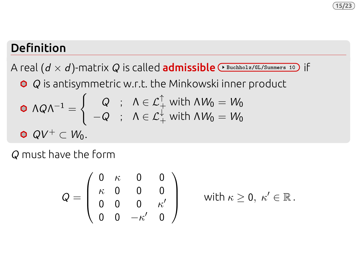### Definition

A real  $(d \times d)$ -matrix Q is called **admissible**  $\sqrt{Buchbolar/GL/Summers 10}$  if

**○**  $Q$  is antisymmetric w.r.t. the Minkowski inner product

\n
$$
\mathsf{O} \land Q\Lambda^{-1} =\n \begin{cases}\n Q & \text{if } \Lambda \in \mathcal{L}_+^{\uparrow} \text{ with } \Lambda W_0 = W_0 \\
-Q & \text{if } \Lambda \in \mathcal{L}_+^{\downarrow} \text{ with } \Lambda W_0 = W_0\n \end{cases}
$$
\n

\n\n $\mathsf{O} \quad QV^+ \subset W_0.$ \n

Q must have the form

$$
Q = \left(\begin{array}{cccc} 0 & \kappa & 0 & 0 \\ \kappa & 0 & 0 & 0 \\ 0 & 0 & 0 & \kappa' \\ 0 & 0 & -\kappa' & 0 \end{array}\right)
$$

with  $\kappa \geq 0, \; \kappa' \in \mathbb{R}$ .

**15/23**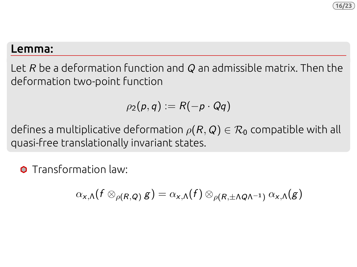#### **16/23**

#### Lemma:

Let R be a deformation function and Q an admissible matrix. Then the deformation two-point function

$$
\rho_2(p,q):=R(-p\cdot Qq)
$$

defines a multiplicative deformation  $\rho(R, Q) \in \mathcal{R}_0$  compatible with all quasi-free translationally invariant states.

**O** Transformation law

$$
\alpha_{x,\Lambda}(f\otimes_{\rho(R,Q)}g)=\alpha_{x,\Lambda}(f)\otimes_{\rho(R,\pm\Lambda Q\Lambda^{-1})}\alpha_{x,\Lambda}(g)
$$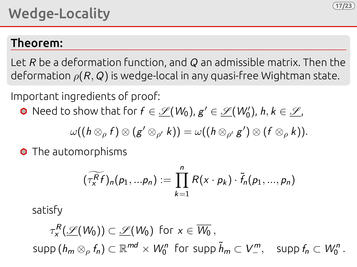### Theorem:

Let R be a deformation function, and Q an admissible matrix. Then the deformation  $\rho(R, Q)$  is wedge-local in any quasi-free Wightman state.

**17/23**

Important ingredients of proof:

Need to show that for  $f \in \mathscr{L}(W_0)$ ,  $\mathsf{g}' \in \mathscr{L}(W_0')$ ,  $\mathsf{h}, \mathsf{k} \in \mathscr{L}$ ,

$$
\omega((h\otimes_{\rho}f)\otimes (g'\otimes_{\rho'}k))=\omega((h\otimes_{\rho'}g')\otimes (f\otimes_{\rho}k)).
$$

**O** The automorphisms

$$
(\widetilde{\tau_x^R f})_n(p_1,...p_n) := \prod_{k=1}^n R(x \cdot p_k) \cdot \widetilde{f}_n(p_1,...,p_n)
$$

satisfy

$$
\tau_x^R(\underline{\mathscr{S}}(W_0)) \subset \underline{\mathscr{S}}(W_0) \text{ for } x \in \overline{W_0},
$$
  
supp $(h_m \otimes_{\rho} f_n) \subset \mathbb{R}^{md} \times W_0^n$  for supp  $\tilde{h}_m \subset V_-^m$ , supp  $f_n \subset W_0^n$ .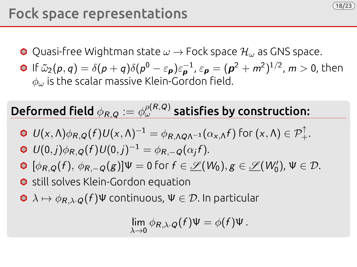

- **O** Quasi-free Wightman state  $\omega \rightarrow$  Fock space  $\mathcal{H}_{\omega}$  as GNS space.
- If  $\tilde{\omega}_2(p,q)=\delta(p+q)\delta(p^0-\varepsilon_{\bm p})\varepsilon_{\bm p}^{-1}$ ,  $\varepsilon_{\bm p}=(\bm p^2+m^2)^{1/2}$ ,  $m>0$ , then  $\phi$ . is the scalar massive Klein-Gordon field.

**18/23**

### Deformed field  $\phi_{R,Q} := \phi_\omega^{\rho(R,Q)}$  satisfies by construction:

$$
\Phi U(x,\Lambda)\phi_{R,Q}(f)U(x,\Lambda)^{-1}=\phi_{R,\Lambda Q\Lambda^{-1}}(\alpha_{x,\Lambda}f)\text{ for }(x,\Lambda)\in\mathcal{P}_+^{\uparrow}.
$$

$$
\mathbf{O} U(0,j)\phi_{R,Q}(f)U(0,j)^{-1} = \phi_{R,-Q}(\alpha_j f).
$$

- $[\phi_{R,Q}(f), \phi_{R,-Q}(g)]\Psi = 0$  for  $f \in \mathscr{L}(W_0), g \in \mathscr{L}(W'_0)$ ,  $\Psi \in \mathcal{D}$ .
- **O** still solves Klein-Gordon equation
- $\bullet \lambda \mapsto \phi_{R,\lambda\cdot Q}(f)\Psi$  continuous,  $\Psi \in \mathcal{D}$ . In particular

$$
\lim_{\lambda\to 0}\phi_{R,\lambda\cdot Q}(f)\Psi=\phi(f)\Psi.
$$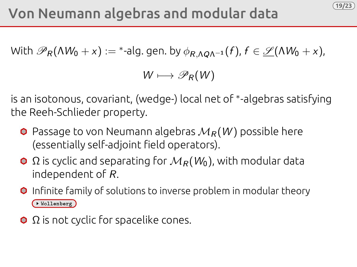With  $\mathscr{P}_R(\Lambda W_0+x):=$  \*-alg. gen. by  $\phi_{R,\Lambda Q\Lambda^{-1}}(f)$ ,  $f\in \underline{\mathscr{S}}(\Lambda W_0+x)$ ,

 $W \longmapsto \mathscr{P}_R(W)$ 

**19/23**

is an isotonous, covariant, (wedge-) local net of <sup>∗</sup> -algebras satisfying the Reeh-Schlieder property.

- $\bullet$  Passage to von Neumann algebras  $M_R(W)$  possible here (essentially self-adjoint field operators).
- $\Omega$  is cyclic and separating for  $M_R(W_0)$ , with modular data independent of R.
- **O** Infinite family of solutions to inverse problem in modular theory Wollenberg
- $\Omega$  is not cyclic for spacelike cones.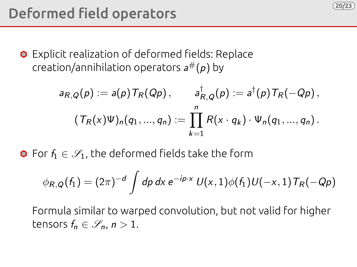

**O** Explicit realization of deformed fields: Replace creation/annihilation operators  $a^\#(p)$  by

$$
a_{R,Q}(p) := a(p) T_R(Qp), \qquad a_{R,Q}^{\dagger}(p) := a^{\dagger}(p) T_R(-Qp),
$$

$$
(T_R(x)\Psi)_n(q_1,...,q_n) := \prod_{k=1}^n R(x \cdot q_k) \cdot \Psi_n(q_1,...,q_n).
$$

**20/23**

 $\bullet$  For  $f_1 \in \mathscr{S}_1$ , the deformed fields take the form

$$
\phi_{R,Q}(f_1) = (2\pi)^{-d} \int dp \, dx \, e^{-ip \cdot x} \, U(x,1) \phi(f_1) U(-x,1) \, T_R(-Qp)
$$

Formula similar to warped convolution, but not valid for higher tensors  $f_n \in \mathscr{S}_n$ ,  $n > 1$ .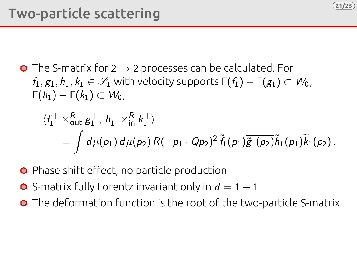

 $\bullet$  The S-matrix for 2  $\rightarrow$  2 processes can be calculated. For  $f_1, g_1, h_1, k_1 \in \mathscr{S}_1$  with velocity supports  $\Gamma(f_1) - \Gamma(g_1) \subset W_0$ ,  $\Gamma(h_1) - \Gamma(k_1) \subset W_0$ 

$$
\langle f_1^+ \times_{\text{out}}^R g_1^+, h_1^+ \times_{\text{in}}^R k_1^+ \rangle
$$
  
= 
$$
\int d\mu(p_1) d\mu(p_2) R(-p_1 \cdot Qp_2)^2 \overline{\tilde{f}_1(p_1)} \tilde{g}_1(p_2) \tilde{h}_1(p_1) \tilde{k}_1(p_2).
$$

**21/23**

- **O** Phase shift effect, no particle production
- $\bullet$  S-matrix fully Lorentz invariant only in  $d = 1 + 1$
- **O** The deformation function is the root of the two-particle S-matrix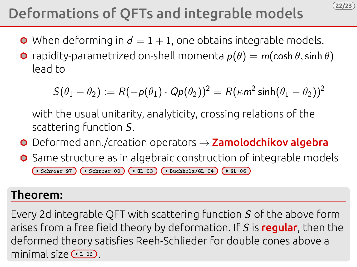## Deformations of QFTs and integrable models

- $\bullet$  When deforming in  $d = 1 + 1$ , one obtains integrable models.
- **O** rapidity-parametrized on-shell momenta  $p(\theta) = m(\cosh \theta, \sinh \theta)$ lead to

$$
S(\theta_1 - \theta_2) := R(-p(\theta_1) \cdot Qp(\theta_2))^2 = R(\kappa m^2 \sinh(\theta_1 - \theta_2))^2
$$

**22/23**

with the usual unitarity, analyticity, crossing relations of the scattering function S.

- $\bullet$  Deformed ann./creation operators  $\rightarrow$  Zamolodchikov algebra
- **O** Same structure as in algebraic construction of integrable models  $\rightarrow$  Schroer 97  $\rightarrow$  Schroer 00  $\rightarrow$  GL 03  $\rightarrow$  Buchholz/GL 04  $\rightarrow$  GL 06

### Theorem:

Every 2d integrable QFT with scattering function S of the above form arises from a free field theory by deformation. If S is regular, then the deformed theory satisfies Reeh-Schlieder for double cones above a minimal size  $(1.06)$ .